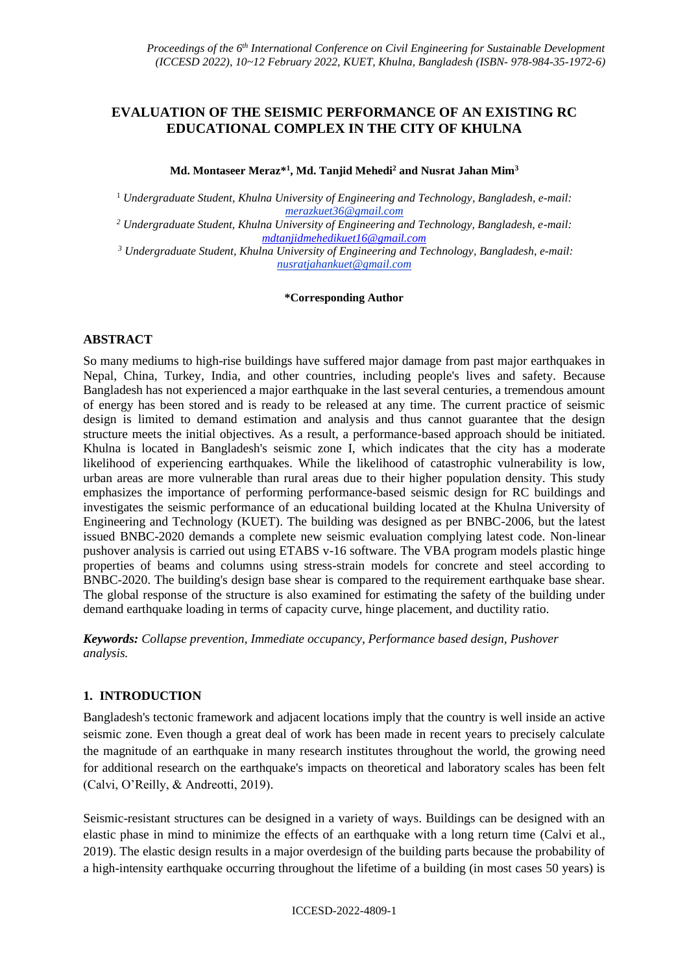# **EVALUATION OF THE SEISMIC PERFORMANCE OF AN EXISTING RC EDUCATIONAL COMPLEX IN THE CITY OF KHULNA**

## **Md. Montaseer Meraz\* 1 , Md. Tanjid Mehedi<sup>2</sup> and Nusrat Jahan Mim<sup>3</sup>**

<sup>1</sup> *Undergraduate Student, Khulna University of Engineering and Technology, Bangladesh, e-mail: merazkuet36@gmail.com*

*<sup>2</sup> Undergraduate Student, Khulna University of Engineering and Technology, Bangladesh, e-mail: [mdtanjidmehedikuet16@gmail.com](mailto:mdtanjidmehedikuet16@gmail.com)*

*<sup>3</sup> Undergraduate Student, Khulna University of Engineering and Technology, Bangladesh, e-mail: nusratjahankuet@gmail.com*

#### **\*Corresponding Author**

## **ABSTRACT**

So many mediums to high-rise buildings have suffered major damage from past major earthquakes in Nepal, China, Turkey, India, and other countries, including people's lives and safety. Because Bangladesh has not experienced a major earthquake in the last several centuries, a tremendous amount of energy has been stored and is ready to be released at any time. The current practice of seismic design is limited to demand estimation and analysis and thus cannot guarantee that the design structure meets the initial objectives. As a result, a performance-based approach should be initiated. Khulna is located in Bangladesh's seismic zone I, which indicates that the city has a moderate likelihood of experiencing earthquakes. While the likelihood of catastrophic vulnerability is low, urban areas are more vulnerable than rural areas due to their higher population density. This study emphasizes the importance of performing performance-based seismic design for RC buildings and investigates the seismic performance of an educational building located at the Khulna University of Engineering and Technology (KUET). The building was designed as per BNBC-2006, but the latest issued BNBC-2020 demands a complete new seismic evaluation complying latest code. Non-linear pushover analysis is carried out using ETABS v-16 software. The VBA program models plastic hinge properties of beams and columns using stress-strain models for concrete and steel according to BNBC-2020. The building's design base shear is compared to the requirement earthquake base shear. The global response of the structure is also examined for estimating the safety of the building under demand earthquake loading in terms of capacity curve, hinge placement, and ductility ratio.

*Keywords: Collapse prevention, Immediate occupancy, Performance based design, Pushover analysis.*

## **1. INTRODUCTION**

Bangladesh's tectonic framework and adjacent locations imply that the country is well inside an active seismic zone. Even though a great deal of work has been made in recent years to precisely calculate the magnitude of an earthquake in many research institutes throughout the world, the growing need for additional research on the earthquake's impacts on theoretical and laboratory scales has been felt (Calvi, O'Reilly, & Andreotti, 2019).

Seismic-resistant structures can be designed in a variety of ways. Buildings can be designed with an elastic phase in mind to minimize the effects of an earthquake with a long return time (Calvi et al., 2019). The elastic design results in a major overdesign of the building parts because the probability of a high-intensity earthquake occurring throughout the lifetime of a building (in most cases 50 years) is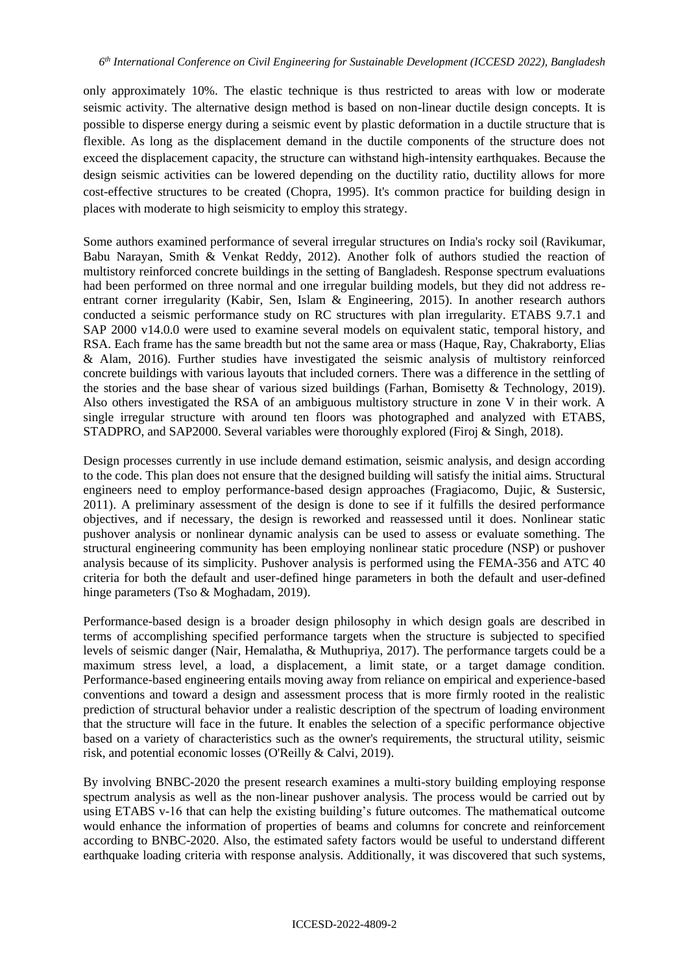only approximately 10%. The elastic technique is thus restricted to areas with low or moderate seismic activity. The alternative design method is based on non-linear ductile design concepts. It is possible to disperse energy during a seismic event by plastic deformation in a ductile structure that is flexible. As long as the displacement demand in the ductile components of the structure does not exceed the displacement capacity, the structure can withstand high-intensity earthquakes. Because the design seismic activities can be lowered depending on the ductility ratio, ductility allows for more cost-effective structures to be created (Chopra, 1995). It's common practice for building design in places with moderate to high seismicity to employ this strategy.

Some authors examined performance of several irregular structures on India's rocky soil (Ravikumar, Babu Narayan, Smith & Venkat Reddy, 2012). Another folk of authors studied the reaction of multistory reinforced concrete buildings in the setting of Bangladesh. Response spectrum evaluations had been performed on three normal and one irregular building models, but they did not address reentrant corner irregularity (Kabir, Sen, Islam & Engineering, 2015). In another research authors conducted a seismic performance study on RC structures with plan irregularity. ETABS 9.7.1 and SAP 2000 v14.0.0 were used to examine several models on equivalent static, temporal history, and RSA. Each frame has the same breadth but not the same area or mass (Haque, Ray, Chakraborty, Elias & Alam, 2016). Further studies have investigated the seismic analysis of multistory reinforced concrete buildings with various layouts that included corners. There was a difference in the settling of the stories and the base shear of various sized buildings (Farhan, Bomisetty & Technology, 2019). Also others investigated the RSA of an ambiguous multistory structure in zone V in their work. A single irregular structure with around ten floors was photographed and analyzed with ETABS, STADPRO, and SAP2000. Several variables were thoroughly explored (Firoj & Singh, 2018).

Design processes currently in use include demand estimation, seismic analysis, and design according to the code. This plan does not ensure that the designed building will satisfy the initial aims. Structural engineers need to employ performance-based design approaches (Fragiacomo, Dujic, & Sustersic, 2011). A preliminary assessment of the design is done to see if it fulfills the desired performance objectives, and if necessary, the design is reworked and reassessed until it does. Nonlinear static pushover analysis or nonlinear dynamic analysis can be used to assess or evaluate something. The structural engineering community has been employing nonlinear static procedure (NSP) or pushover analysis because of its simplicity. Pushover analysis is performed using the FEMA-356 and ATC 40 criteria for both the default and user-defined hinge parameters in both the default and user-defined hinge parameters (Tso & Moghadam, 2019).

Performance-based design is a broader design philosophy in which design goals are described in terms of accomplishing specified performance targets when the structure is subjected to specified levels of seismic danger (Nair, Hemalatha, & Muthupriya, 2017). The performance targets could be a maximum stress level, a load, a displacement, a limit state, or a target damage condition. Performance-based engineering entails moving away from reliance on empirical and experience-based conventions and toward a design and assessment process that is more firmly rooted in the realistic prediction of structural behavior under a realistic description of the spectrum of loading environment that the structure will face in the future. It enables the selection of a specific performance objective based on a variety of characteristics such as the owner's requirements, the structural utility, seismic risk, and potential economic losses (O'Reilly & Calvi, 2019).

By involving BNBC-2020 the present research examines a multi-story building employing response spectrum analysis as well as the non-linear pushover analysis. The process would be carried out by using ETABS v-16 that can help the existing building's future outcomes. The mathematical outcome would enhance the information of properties of beams and columns for concrete and reinforcement according to BNBC-2020. Also, the estimated safety factors would be useful to understand different earthquake loading criteria with response analysis. Additionally, it was discovered that such systems,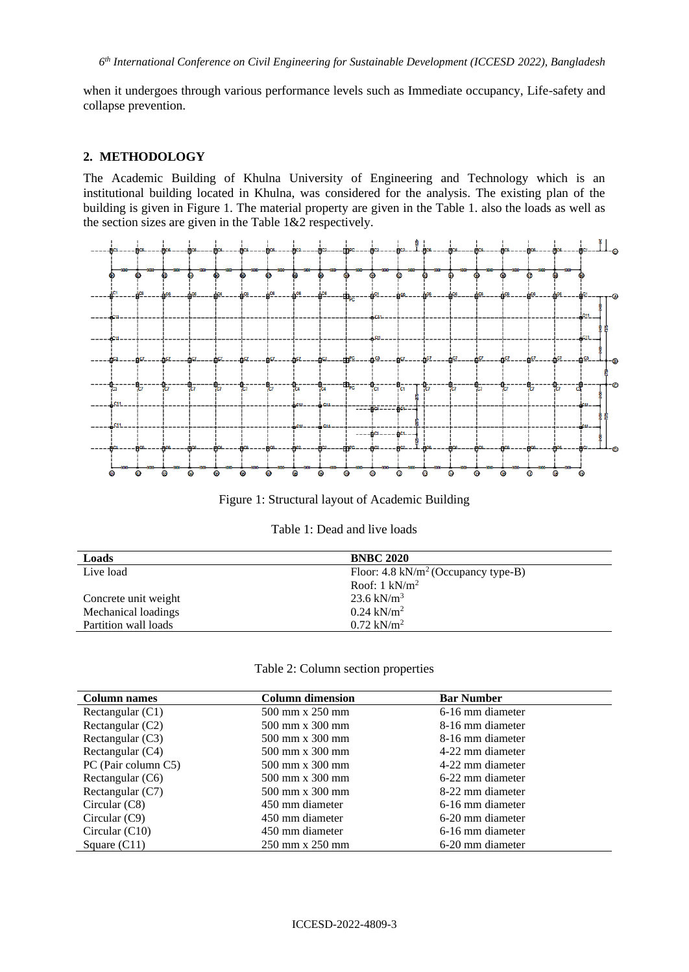when it undergoes through various performance levels such as Immediate occupancy, Life-safety and collapse prevention.

### **2. METHODOLOGY**

The Academic Building of Khulna University of Engineering and Technology which is an institutional building located in Khulna, was considered for the analysis. The existing plan of the building is given in Figure 1. The material property are given in the Table 1. also the loads as well as the section sizes are given in the Table 1&2 respectively.



Figure 1: Structural layout of Academic Building

| Loads                | <b>BNBC 2020</b>                               |
|----------------------|------------------------------------------------|
| Live load            | Floor: $4.8 \text{ kN/m}^2$ (Occupancy type-B) |
|                      | Roof: $1 \text{ kN/m}^2$                       |
| Concrete unit weight | 23.6 kN/ $m^3$                                 |
| Mechanical loadings  | $0.24$ kN/m <sup>2</sup>                       |
| Partition wall loads | $0.72 \text{ kN/m}^2$                          |

#### Table 2: Column section properties

| <b>Column names</b> | <b>Column dimension</b>                | <b>Bar Number</b> |
|---------------------|----------------------------------------|-------------------|
| Rectangular $(C1)$  | 500 mm x 250 mm                        | 6-16 mm diameter  |
| Rectangular (C2)    | 8-16 mm diameter<br>500 mm x 300 mm    |                   |
| Rectangular $(C3)$  | 500 mm x 300 mm                        | 8-16 mm diameter  |
| Rectangular (C4)    | 500 mm x 300 mm                        | 4-22 mm diameter  |
| PC (Pair column C5) | $500 \text{ mm} \times 300 \text{ mm}$ | 4-22 mm diameter  |
| Rectangular (C6)    | 500 mm x 300 mm                        | 6-22 mm diameter  |
| Rectangular (C7)    | 500 mm x 300 mm                        | 8-22 mm diameter  |
| Circular $(C8)$     | 450 mm diameter                        | 6-16 mm diameter  |
| Circular $(C9)$     | 450 mm diameter                        | 6-20 mm diameter  |
| Circular $(C10)$    | 450 mm diameter                        | 6-16 mm diameter  |
| Square $(C11)$      | 250 mm x 250 mm                        | 6-20 mm diameter  |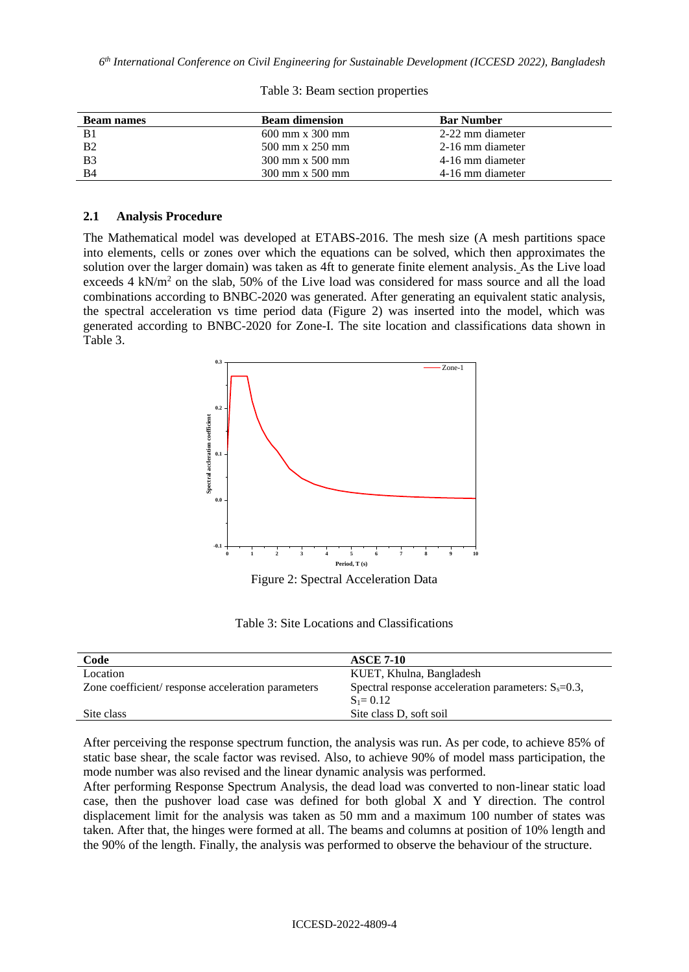*6 th International Conference on Civil Engineering for Sustainable Development (ICCESD 2022), Bangladesh*

| <b>Beam names</b> | <b>Beam dimension</b>                  | <b>Bar Number</b> |
|-------------------|----------------------------------------|-------------------|
| B1                | $600 \text{ mm} \times 300 \text{ mm}$ | 2-22 mm diameter  |
| <b>B2</b>         | 500 mm x 250 mm                        | 2-16 mm diameter  |
| <b>B</b> 3        | $300 \text{ mm} \times 500 \text{ mm}$ | 4-16 mm diameter  |
| <b>B4</b>         | $300 \text{ mm} \times 500 \text{ mm}$ | 4-16 mm diameter  |

|  |  |  | Table 3: Beam section properties |
|--|--|--|----------------------------------|
|--|--|--|----------------------------------|

### **2.1 Analysis Procedure**

The Mathematical model was developed at ETABS-2016. The mesh size (A mesh partitions space into elements, cells or zones over which the equations can be solved, which then approximates the solution over the larger domain) was taken as 4ft to generate finite element analysis. As the Live load exceeds  $4 \text{ kN/m}^2$  on the slab, 50% of the Live load was considered for mass source and all the load combinations according to BNBC-2020 was generated. After generating an equivalent static analysis, the spectral acceleration vs time period data (Figure 2) was inserted into the model, which was generated according to BNBC-2020 for Zone-I. The site location and classifications data shown in Table 3.



Figure 2: Spectral Acceleration Data

Table 3: Site Locations and Classifications

| Code                                              | <b>ASCE 7-10</b>                                         |
|---------------------------------------------------|----------------------------------------------------------|
| Location                                          | KUET, Khulna, Bangladesh                                 |
| Zone coefficient/response acceleration parameters | Spectral response acceleration parameters: $S_s = 0.3$ , |
|                                                   | $S_1 = 0.12$                                             |
| Site class                                        | Site class D, soft soil                                  |

After perceiving the response spectrum function, the analysis was run. As per code, to achieve 85% of static base shear, the scale factor was revised. Also, to achieve 90% of model mass participation, the mode number was also revised and the linear dynamic analysis was performed.

After performing Response Spectrum Analysis, the dead load was converted to non-linear static load case, then the pushover load case was defined for both global X and Y direction. The control displacement limit for the analysis was taken as 50 mm and a maximum 100 number of states was taken. After that, the hinges were formed at all. The beams and columns at position of 10% length and the 90% of the length. Finally, the analysis was performed to observe the behaviour of the structure.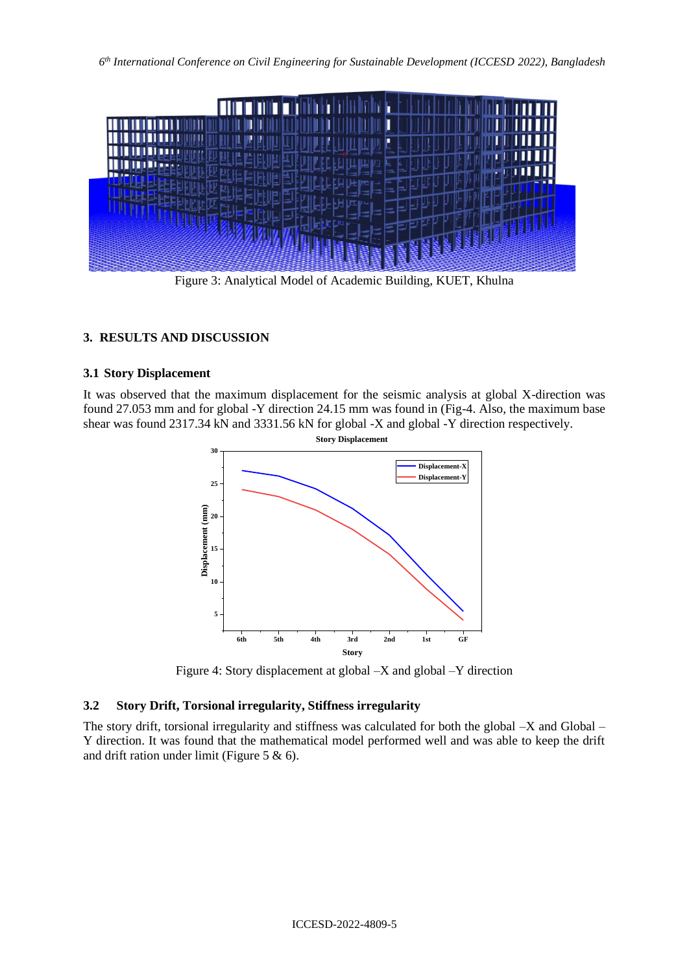

Figure 3: Analytical Model of Academic Building, KUET, Khulna

# **3. RESULTS AND DISCUSSION**

### **3.1 Story Displacement**

It was observed that the maximum displacement for the seismic analysis at global X-direction was found 27.053 mm and for global -Y direction 24.15 mm was found in (Fig-4. Also, the maximum base shear was found 2317.34 kN and 3331.56 kN for global -X and global -Y direction respectively.



Figure 4: Story displacement at global –X and global –Y direction

## **3.2 Story Drift, Torsional irregularity, Stiffness irregularity**

The story drift, torsional irregularity and stiffness was calculated for both the global -X and Global – Y direction. It was found that the mathematical model performed well and was able to keep the drift and drift ration under limit (Figure 5 & 6).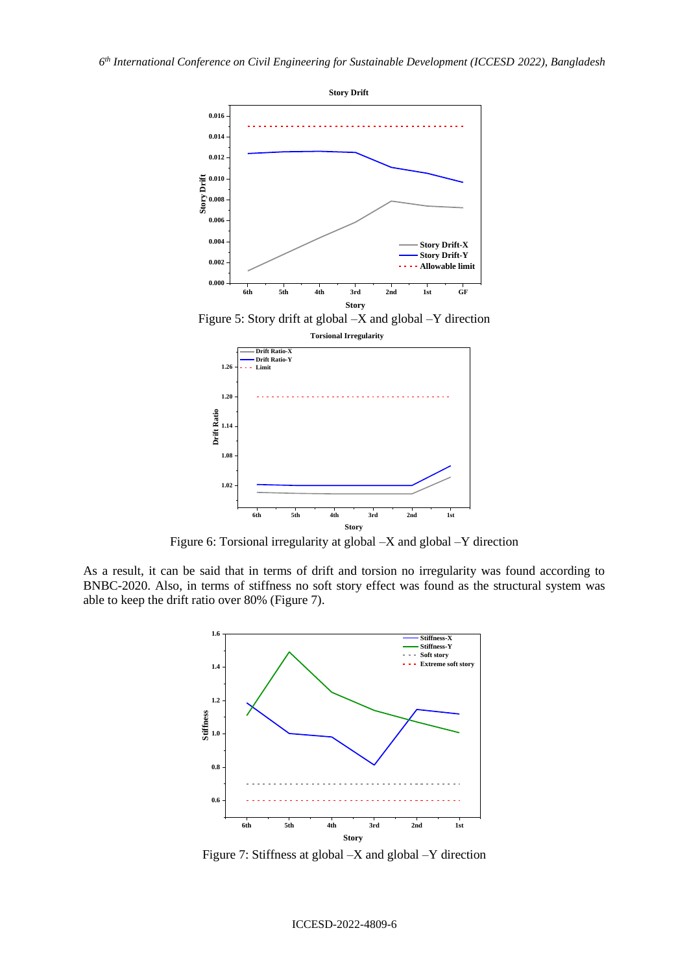



Figure 6: Torsional irregularity at global –X and global –Y direction

As a result, it can be said that in terms of drift and torsion no irregularity was found according to BNBC-2020. Also, in terms of stiffness no soft story effect was found as the structural system was able to keep the drift ratio over 80% (Figure 7).



Figure 7: Stiffness at global –X and global –Y direction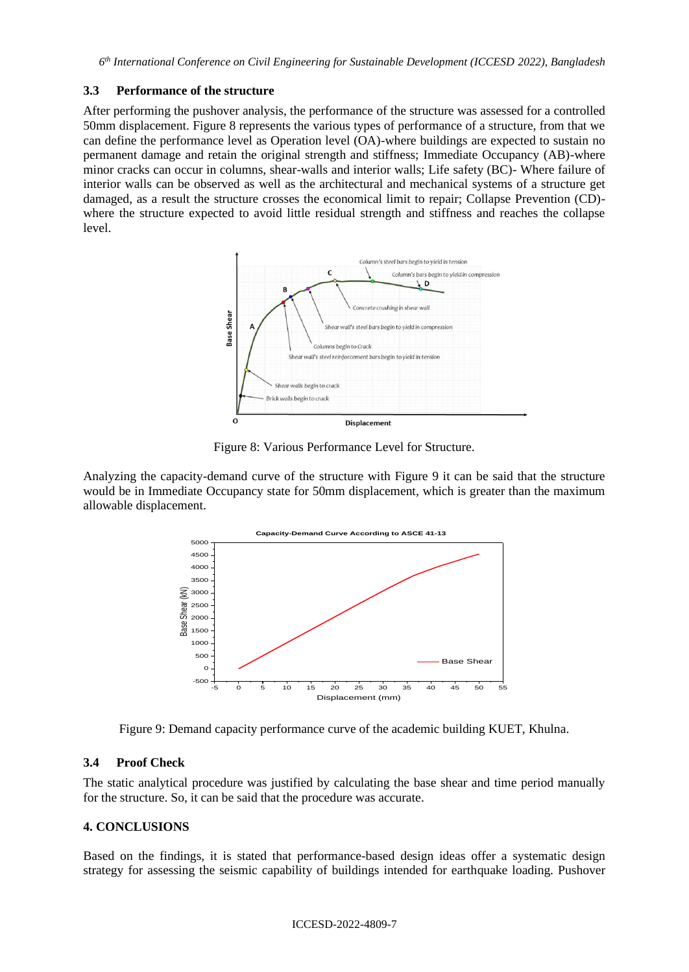## **3.3 Performance of the structure**

After performing the pushover analysis, the performance of the structure was assessed for a controlled 50mm displacement. Figure 8 represents the various types of performance of a structure, from that we can define the performance level as Operation level (OA)-where buildings are expected to sustain no permanent damage and retain the original strength and stiffness; Immediate Occupancy (AB)-where minor cracks can occur in columns, shear-walls and interior walls; Life safety (BC)- Where failure of interior walls can be observed as well as the architectural and mechanical systems of a structure get damaged, as a result the structure crosses the economical limit to repair; Collapse Prevention (CD) where the structure expected to avoid little residual strength and stiffness and reaches the collapse level.



Figure 8: Various Performance Level for Structure.

Analyzing the capacity-demand curve of the structure with Figure 9 it can be said that the structure would be in Immediate Occupancy state for 50mm displacement, which is greater than the maximum allowable displacement.



Figure 9: Demand capacity performance curve of the academic building KUET, Khulna.

# **3.4 Proof Check**

The static analytical procedure was justified by calculating the base shear and time period manually for the structure. So, it can be said that the procedure was accurate.

# **4. CONCLUSIONS**

Based on the findings, it is stated that performance-based design ideas offer a systematic design strategy for assessing the seismic capability of buildings intended for earthquake loading. Pushover